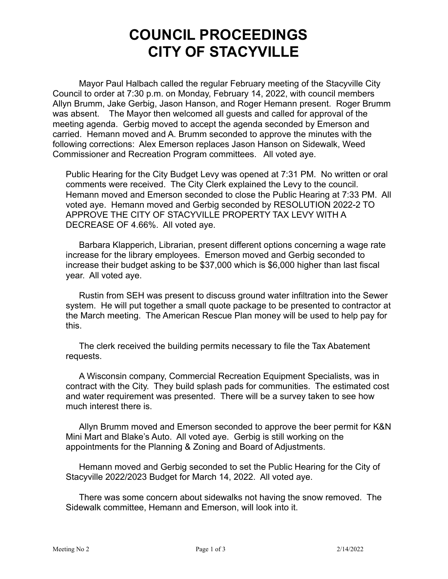## **COUNCIL PROCEEDINGS CITY OF STACYVILLE**

Mayor Paul Halbach called the regular February meeting of the Stacyville City Council to order at 7:30 p.m. on Monday, February 14, 2022, with council members Allyn Brumm, Jake Gerbig, Jason Hanson, and Roger Hemann present. Roger Brumm was absent. The Mayor then welcomed all guests and called for approval of the meeting agenda. Gerbig moved to accept the agenda seconded by Emerson and carried. Hemann moved and A. Brumm seconded to approve the minutes with the following corrections: Alex Emerson replaces Jason Hanson on Sidewalk, Weed Commissioner and Recreation Program committees. All voted aye.

Public Hearing for the City Budget Levy was opened at 7:31 PM. No written or oral comments were received. The City Clerk explained the Levy to the council. Hemann moved and Emerson seconded to close the Public Hearing at 7:33 PM. All voted aye. Hemann moved and Gerbig seconded by RESOLUTION 2022-2 TO APPROVE THE CITY OF STACYVILLE PROPERTY TAX LEVY WITH A DECREASE OF 4.66%. All voted aye.

Barbara Klapperich, Librarian, present different options concerning a wage rate increase for the library employees. Emerson moved and Gerbig seconded to increase their budget asking to be \$37,000 which is \$6,000 higher than last fiscal year. All voted aye.

Rustin from SEH was present to discuss ground water infiltration into the Sewer system. He will put together a small quote package to be presented to contractor at the March meeting. The American Rescue Plan money will be used to help pay for this.

The clerk received the building permits necessary to file the Tax Abatement requests.

A Wisconsin company, Commercial Recreation Equipment Specialists, was in contract with the City. They build splash pads for communities. The estimated cost and water requirement was presented. There will be a survey taken to see how much interest there is.

Allyn Brumm moved and Emerson seconded to approve the beer permit for K&N Mini Mart and Blake's Auto. All voted aye. Gerbig is still working on the appointments for the Planning & Zoning and Board of Adjustments.

Hemann moved and Gerbig seconded to set the Public Hearing for the City of Stacyville 2022/2023 Budget for March 14, 2022. All voted aye.

There was some concern about sidewalks not having the snow removed. The Sidewalk committee, Hemann and Emerson, will look into it.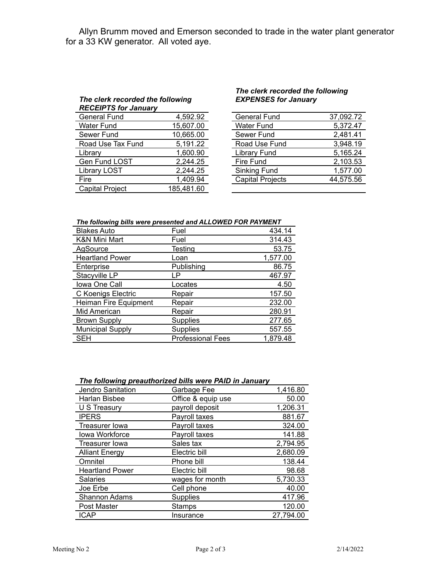Allyn Brumm moved and Emerson seconded to trade in the water plant generator for a 33 KW generator. All voted aye.

## *The clerk recorded the following RECEIPTS for January*

| <b>General Fund</b>    | 4,592.92   | <b>General Fund</b>     | 37,092.72 |
|------------------------|------------|-------------------------|-----------|
| <b>Water Fund</b>      | 15,607.00  | <b>Water Fund</b>       | 5,372.47  |
| Sewer Fund             | 10,665.00  | Sewer Fund              | 2,481.41  |
| Road Use Tax Fund      | 5,191.22   | Road Use Fund           | 3,948.19  |
| Library                | 1,600.90   | <b>Library Fund</b>     | 5,165.24  |
| Gen Fund LOST          | 2,244.25   | Fire Fund               | 2,103.53  |
| <b>Library LOST</b>    | 2,244.25   | <b>Sinking Fund</b>     | 1,577.00  |
| Fire                   | 1,409.94   | <b>Capital Projects</b> | 44,575.56 |
| <b>Capital Project</b> | 185,481.60 |                         |           |
|                        |            |                         |           |

## *The clerk recorded the following EXPENSES for January*

| <b>General Fund</b>     | 37,092.72 |
|-------------------------|-----------|
| <b>Water Fund</b>       | 5,372.47  |
| Sewer Fund              | 2,481.41  |
| Road Use Fund           | 3,948.19  |
| <b>Library Fund</b>     | 5,165.24  |
| <b>Fire Fund</b>        | 2,103.53  |
| Sinking Fund            | 1,577.00  |
| <b>Capital Projects</b> | 44,575.56 |
|                         |           |

| The following bills were presented and ALLOWED FOR PAYMENT |  |
|------------------------------------------------------------|--|
|------------------------------------------------------------|--|

| <b>Blakes Auto</b>      | Fuel                     | 434.14   |
|-------------------------|--------------------------|----------|
| K&N Mini Mart           | Fuel                     | 314.43   |
| AgSource                | Testing                  | 53.75    |
| <b>Heartland Power</b>  | Loan                     | 1,577.00 |
| Enterprise              | Publishing               | 86.75    |
| Stacyville LP           | LP                       | 467.97   |
| Iowa One Call           | Locates                  | 4.50     |
| C Koenigs Electric      | Repair                   | 157.50   |
| Heiman Fire Equipment   | Repair                   | 232.00   |
| Mid American            | Repair                   | 280.91   |
| <b>Brown Supply</b>     | <b>Supplies</b>          | 277.65   |
| <b>Municipal Supply</b> | <b>Supplies</b>          | 557.55   |
| <b>SEH</b>              | <b>Professional Fees</b> | 1,879.48 |

## *The following preauthorized bills were PAID in January*

| Jendro Sanitation      | Garbage Fee        | 1,416.80  |
|------------------------|--------------------|-----------|
| Harlan Bisbee          | Office & equip use | 50.00     |
| U S Treasury           | payroll deposit    | 1,206.31  |
| <b>IPERS</b>           | Payroll taxes      | 881.67    |
| Treasurer Iowa         | Payroll taxes      | 324.00    |
| <b>Iowa Workforce</b>  | Payroll taxes      | 141.88    |
| <b>Treasurer lowa</b>  | Sales tax          | 2,794.95  |
| <b>Alliant Energy</b>  | Electric bill      | 2,680.09  |
| Omnitel                | Phone bill         | 138.44    |
| <b>Heartland Power</b> | Electric bill      | 98.68     |
| <b>Salaries</b>        | wages for month    | 5,730.33  |
| Joe Erbe               | Cell phone         | 40.00     |
| Shannon Adams          | <b>Supplies</b>    | 417.96    |
| Post Master            | Stamps             | 120.00    |
| <b>ICAP</b>            | Insurance          | 27,794.00 |